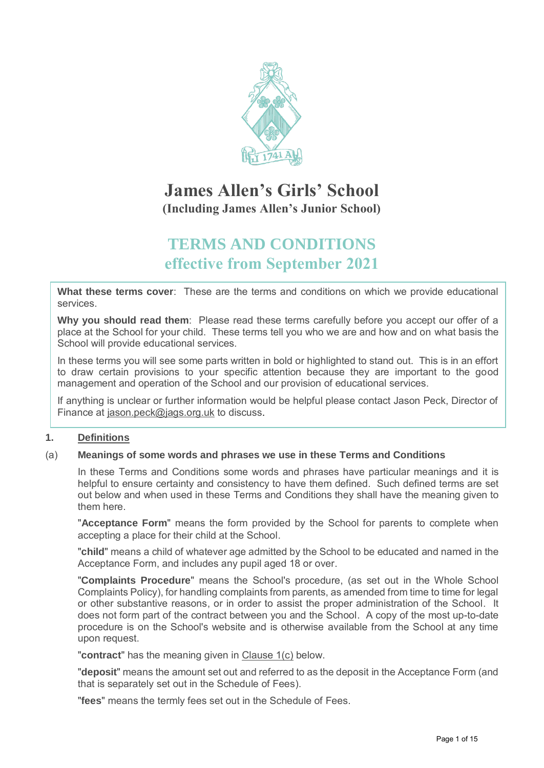

# **James Allen's Girls' School (Including James Allen's Junior School)**

# **TERMS AND CONDITIONS effective from September 2021**

**What these terms cover**: These are the terms and conditions on which we provide educational services.

**Why you should read them**: Please read these terms carefully before you accept our offer of a place at the School for your child. These terms tell you who we are and how and on what basis the School will provide educational services.

In these terms you will see some parts written in bold or highlighted to stand out. This is in an effort to draw certain provisions to your specific attention because they are important to the good management and operation of the School and our provision of educational services.

If anything is unclear or further information would be helpful please contact Jason Peck, Director of Finance at [jason.peck@jags.org.uk](mailto:jason.peck@jags.org.uk) to discuss.

# **1. Definitions**

# (a) **Meanings of some words and phrases we use in these Terms and Conditions**

In these Terms and Conditions some words and phrases have particular meanings and it is helpful to ensure certainty and consistency to have them defined. Such defined terms are set out below and when used in these Terms and Conditions they shall have the meaning given to them here.

"**Acceptance Form**" means the form provided by the School for parents to complete when accepting a place for their child at the School.

"**child**" means a child of whatever age admitted by the School to be educated and named in the Acceptance Form, and includes any pupil aged 18 or over.

"**Complaints Procedure**" means the School's procedure, (as set out in the Whole School Complaints Policy), for handling complaints from parents, as amended from time to time for legal or other substantive reasons, or in order to assist the proper administration of the School. It does not form part of the contract between you and the School. A copy of the most up-to-date procedure is on the School's website and is otherwise available from the School at any time upon request.

"**contract**" has the meaning given in Clause 1(c) below.

"**deposit**" means the amount set out and referred to as the deposit in the Acceptance Form (and that is separately set out in the Schedule of Fees).

"**fees**" means the termly fees set out in the Schedule of Fees.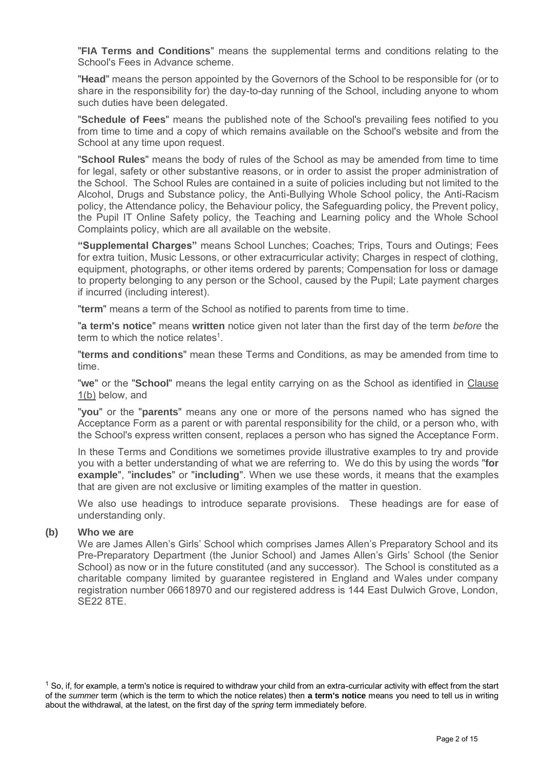"**FIA Terms and Conditions**" means the supplemental terms and conditions relating to the School's Fees in Advance scheme.

"**Head**" means the person appointed by the Governors of the School to be responsible for (or to share in the responsibility for) the day-to-day running of the School, including anyone to whom such duties have been delegated.

"**Schedule of Fees**" means the published note of the School's prevailing fees notified to you from time to time and a copy of which remains available on the School's website and from the School at any time upon request.

"**School Rules**" means the body of rules of the School as may be amended from time to time for legal, safety or other substantive reasons, or in order to assist the proper administration of the School. The School Rules are contained in a suite of policies including but not limited to the Alcohol, Drugs and Substance policy, the Anti-Bullying Whole School policy, the Anti-Racism policy, the Attendance policy, the Behaviour policy, the Safeguarding policy, the Prevent policy, the Pupil IT Online Safety policy, the Teaching and Learning policy and the Whole School Complaints policy, which are all available on the website.

**"Supplemental Charges"** means School Lunches; Coaches; Trips, Tours and Outings; Fees for extra tuition, Music Lessons, or other extracurricular activity; Charges in respect of clothing, equipment, photographs, or other items ordered by parents; Compensation for loss or damage to property belonging to any person or the School, caused by the Pupil; Late payment charges if incurred (including interest).

"**term**" means a term of the School as notified to parents from time to time.

"**a term's notice**" means **written** notice given not later than the first day of the term *before* the term to which the notice relates $^1$ .

"**terms and conditions**" mean these Terms and Conditions, as may be amended from time to time.

"**we**" or the "**School**" means the legal entity carrying on as the School as identified in Clause 1(b) below, and

"**you**" or the "**parents**" means any one or more of the persons named who has signed the Acceptance Form as a parent or with parental responsibility for the child, or a person who, with the School's express written consent, replaces a person who has signed the Acceptance Form.

In these Terms and Conditions we sometimes provide illustrative examples to try and provide you with a better understanding of what we are referring to. We do this by using the words "**for example**", "**includes**" or "**including**". When we use these words, it means that the examples that are given are not exclusive or limiting examples of the matter in question.

We also use headings to introduce separate provisions. These headings are for ease of understanding only.

#### **(b) Who we are**

We are James Allen's Girls' School which comprises James Allen's Preparatory School and its Pre-Preparatory Department (the Junior School) and James Allen's Girls' School (the Senior School) as now or in the future constituted (and any successor). The School is constituted as a charitable company limited by guarantee registered in England and Wales under company registration number 06618970 and our registered address is 144 East Dulwich Grove, London, SE22 8TE.

 $1$  So, if, for example, a term's notice is required to withdraw your child from an extra-curricular activity with effect from the start of the *summer* term (which is the term to which the notice relates) then **a term's notice** means you need to tell us in writing about the withdrawal, at the latest, on the first day of the *spring* term immediately before.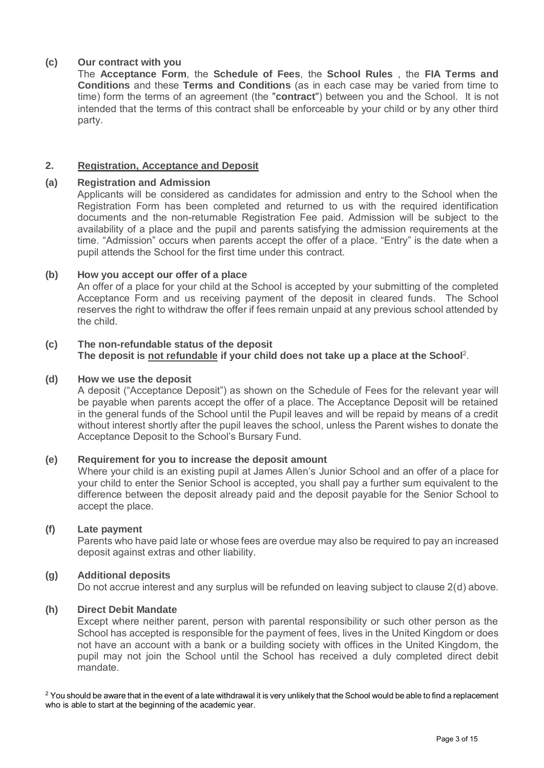# **(c) Our contract with you**

The **Acceptance Form**, the **Schedule of Fees**, the **School Rules** , the **FIA Terms and Conditions** and these **Terms and Conditions** (as in each case may be varied from time to time) form the terms of an agreement (the "**contract**") between you and the School. It is not intended that the terms of this contract shall be enforceable by your child or by any other third party.

# **2. Registration, Acceptance and Deposit**

### **(a) Registration and Admission**

Applicants will be considered as candidates for admission and entry to the School when the Registration Form has been completed and returned to us with the required identification documents and the non-returnable Registration Fee paid. Admission will be subject to the availability of a place and the pupil and parents satisfying the admission requirements at the time. "Admission" occurs when parents accept the offer of a place. "Entry" is the date when a pupil attends the School for the first time under this contract.

## **(b) How you accept our offer of a place**

An offer of a place for your child at the School is accepted by your submitting of the completed Acceptance Form and us receiving payment of the deposit in cleared funds. The School reserves the right to withdraw the offer if fees remain unpaid at any previous school attended by the child.

## **(c) The non-refundable status of the deposit The deposit is not refundable if your child does not take up a place at the School**<sup>2</sup> .

## **(d) How we use the deposit**

A deposit ("Acceptance Deposit") as shown on the Schedule of Fees for the relevant year will be payable when parents accept the offer of a place. The Acceptance Deposit will be retained in the general funds of the School until the Pupil leaves and will be repaid by means of a credit without interest shortly after the pupil leaves the school, unless the Parent wishes to donate the Acceptance Deposit to the School's Bursary Fund.

#### **(e) Requirement for you to increase the deposit amount**

Where your child is an existing pupil at James Allen's Junior School and an offer of a place for your child to enter the Senior School is accepted, you shall pay a further sum equivalent to the difference between the deposit already paid and the deposit payable for the Senior School to accept the place.

#### **(f) Late payment**

Parents who have paid late or whose fees are overdue may also be required to pay an increased deposit against extras and other liability.

# **(g) Additional deposits**

Do not accrue interest and any surplus will be refunded on leaving subject to clause 2(d) above.

#### **(h) Direct Debit Mandate**

Except where neither parent, person with parental responsibility or such other person as the School has accepted is responsible for the payment of fees, lives in the United Kingdom or does not have an account with a bank or a building society with offices in the United Kingdom, the pupil may not join the School until the School has received a duly completed direct debit mandate.

 $2$  You should be aware that in the event of a late withdrawal it is very unlikely that the School would be able to find a replacement who is able to start at the beginning of the academic year.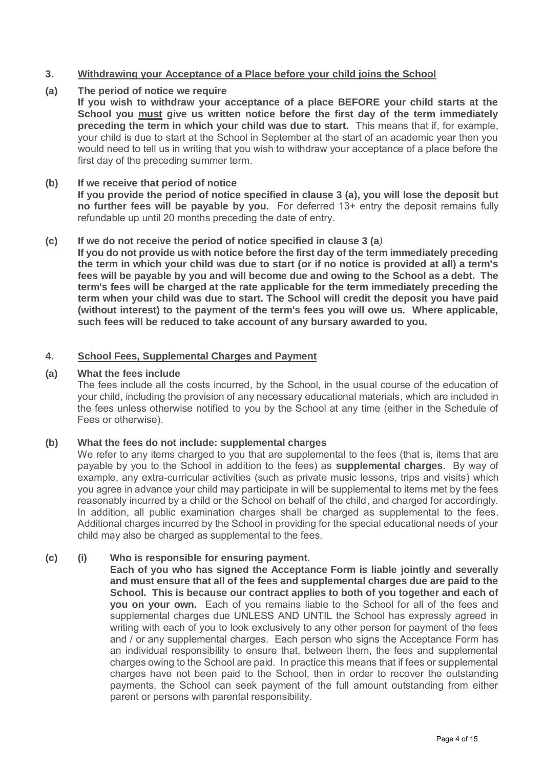# **3. Withdrawing your Acceptance of a Place before your child joins the School**

#### **(a) The period of notice we require**

**If you wish to withdraw your acceptance of a place BEFORE your child starts at the School you must give us written notice before the first day of the term immediately preceding the term in which your child was due to start.** This means that if, for example, your child is due to start at the School in September at the start of an academic year then you would need to tell us in writing that you wish to withdraw your acceptance of a place before the first day of the preceding summer term.

#### **(b) If we receive that period of notice**

**If you provide the period of notice specified in clause 3 (a), you will lose the deposit but no further fees will be payable by you.** For deferred 13+ entry the deposit remains fully refundable up until 20 months preceding the date of entry.

#### **(c) If we do not receive the period of notice specified in clause 3 (a***)*

**If you do not provide us with notice before the first day of the term immediately preceding the term in which your child was due to start (or if no notice is provided at all) a term's fees will be payable by you and will become due and owing to the School as a debt. The term's fees will be charged at the rate applicable for the term immediately preceding the term when your child was due to start. The School will credit the deposit you have paid (without interest) to the payment of the term's fees you will owe us. Where applicable, such fees will be reduced to take account of any bursary awarded to you.**

## **4. School Fees, Supplemental Charges and Payment**

## **(a) What the fees include**

The fees include all the costs incurred, by the School, in the usual course of the education of your child, including the provision of any necessary educational materials, which are included in the fees unless otherwise notified to you by the School at any time (either in the Schedule of Fees or otherwise).

#### **(b) What the fees do not include: supplemental charges**

We refer to any items charged to you that are supplemental to the fees (that is, items that are payable by you to the School in addition to the fees) as **supplemental charges**. By way of example, any extra-curricular activities (such as private music lessons, trips and visits) which you agree in advance your child may participate in will be supplemental to items met by the fees reasonably incurred by a child or the School on behalf of the child, and charged for accordingly. In addition, all public examination charges shall be charged as supplemental to the fees. Additional charges incurred by the School in providing for the special educational needs of your child may also be charged as supplemental to the fees.

#### **(c) (i) Who is responsible for ensuring payment.**

**Each of you who has signed the Acceptance Form is liable jointly and severally and must ensure that all of the fees and supplemental charges due are paid to the School. This is because our contract applies to both of you together and each of you on your own.** Each of you remains liable to the School for all of the fees and supplemental charges due UNLESS AND UNTIL the School has expressly agreed in writing with each of you to look exclusively to any other person for payment of the fees and / or any supplemental charges. Each person who signs the Acceptance Form has an individual responsibility to ensure that, between them, the fees and supplemental charges owing to the School are paid. In practice this means that if fees or supplemental charges have not been paid to the School, then in order to recover the outstanding payments, the School can seek payment of the full amount outstanding from either parent or persons with parental responsibility.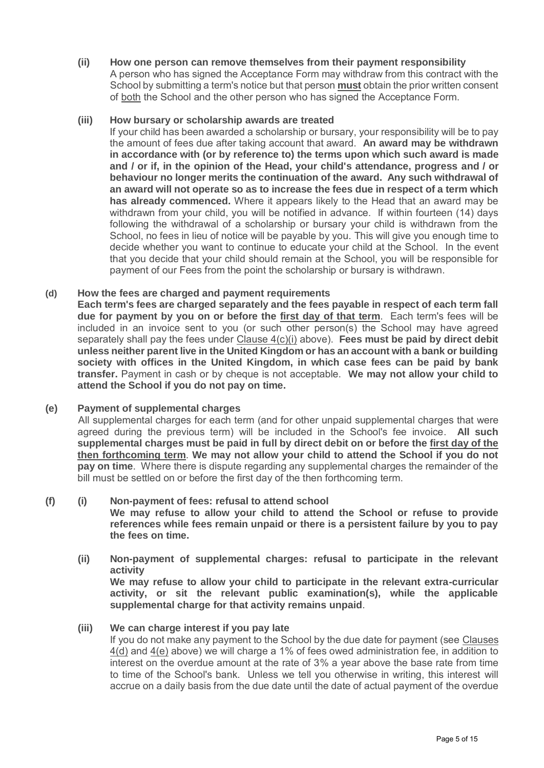**(ii) How one person can remove themselves from their payment responsibility** A person who has signed the Acceptance Form may withdraw from this contract with the School by submitting a term's notice but that person **must** obtain the prior written consent of both the School and the other person who has signed the Acceptance Form.

## **(iii) How bursary or scholarship awards are treated**

If your child has been awarded a scholarship or bursary, your responsibility will be to pay the amount of fees due after taking account that award. **An award may be withdrawn in accordance with (or by reference to) the terms upon which such award is made and / or if, in the opinion of the Head, your child's attendance, progress and / or behaviour no longer merits the continuation of the award. Any such withdrawal of an award will not operate so as to increase the fees due in respect of a term which has already commenced.** Where it appears likely to the Head that an award may be withdrawn from your child, you will be notified in advance. If within fourteen (14) days following the withdrawal of a scholarship or bursary your child is withdrawn from the School, no fees in lieu of notice will be payable by you. This will give you enough time to decide whether you want to continue to educate your child at the School. In the event that you decide that your child should remain at the School, you will be responsible for payment of our Fees from the point the scholarship or bursary is withdrawn.

## **(d) How the fees are charged and payment requirements**

**Each term's fees are charged separately and the fees payable in respect of each term fall due for payment by you on or before the first day of that term**. Each term's fees will be included in an invoice sent to you (or such other person(s) the School may have agreed separately shall pay the fees under Clause 4(c)(i) above). **Fees must be paid by direct debit unless neither parent live in the United Kingdom or has an account with a bank or building society with offices in the United Kingdom, in which case fees can be paid by bank transfer.** Payment in cash or by cheque is not acceptable. **We may not allow your child to attend the School if you do not pay on time.**

# **(e) Payment of supplemental charges**

All supplemental charges for each term (and for other unpaid supplemental charges that were agreed during the previous term) will be included in the School's fee invoice. **All such supplemental charges must be paid in full by direct debit on or before the first day of the then forthcoming term**. **We may not allow your child to attend the School if you do not pay on time**. Where there is dispute regarding any supplemental charges the remainder of the bill must be settled on or before the first day of the then forthcoming term.

#### **(f) (i) Non-payment of fees: refusal to attend school**

**We may refuse to allow your child to attend the School or refuse to provide references while fees remain unpaid or there is a persistent failure by you to pay the fees on time.**

**(ii) Non-payment of supplemental charges: refusal to participate in the relevant activity**

**We may refuse to allow your child to participate in the relevant extra-curricular activity, or sit the relevant public examination(s), while the applicable supplemental charge for that activity remains unpaid**.

### **(iii) We can charge interest if you pay late**

If you do not make any payment to the School by the due date for payment (see Clauses 4(d) and 4(e) above) we will charge a 1% of fees owed administration fee, in addition to interest on the overdue amount at the rate of 3% a year above the base rate from time to time of the School's bank. Unless we tell you otherwise in writing, this interest will accrue on a daily basis from the due date until the date of actual payment of the overdue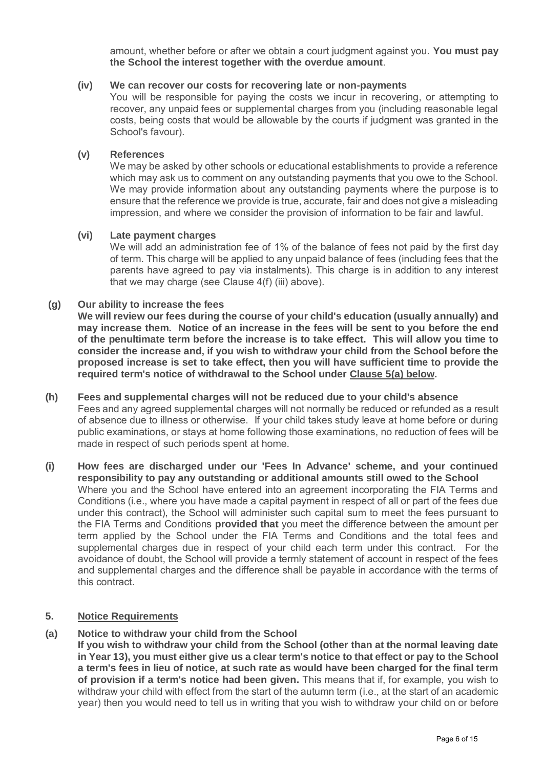amount, whether before or after we obtain a court judgment against you. **You must pay the School the interest together with the overdue amount**.

# **(iv) We can recover our costs for recovering late or non-payments**

You will be responsible for paying the costs we incur in recovering, or attempting to recover, any unpaid fees or supplemental charges from you (including reasonable legal costs, being costs that would be allowable by the courts if judgment was granted in the School's favour).

# **(v) References**

We may be asked by other schools or educational establishments to provide a reference which may ask us to comment on any outstanding payments that you owe to the School. We may provide information about any outstanding payments where the purpose is to ensure that the reference we provide is true, accurate, fair and does not give a misleading impression, and where we consider the provision of information to be fair and lawful.

# **(vi) Late payment charges**

We will add an administration fee of 1% of the balance of fees not paid by the first day of term. This charge will be applied to any unpaid balance of fees (including fees that the parents have agreed to pay via instalments). This charge is in addition to any interest that we may charge (see Clause 4(f) (iii) above).

## **(g) Our ability to increase the fees**

**We will review our fees during the course of your child's education (usually annually) and may increase them. Notice of an increase in the fees will be sent to you before the end of the penultimate term before the increase is to take effect. This will allow you time to consider the increase and, if you wish to withdraw your child from the School before the proposed increase is set to take effect, then you will have sufficient time to provide the required term's notice of withdrawal to the School under Clause 5(a) below.**

#### **(h) Fees and supplemental charges will not be reduced due to your child's absence** Fees and any agreed supplemental charges will not normally be reduced or refunded as a result of absence due to illness or otherwise. If your child takes study leave at home before or during public examinations, or stays at home following those examinations, no reduction of fees will be made in respect of such periods spent at home.

**(i) How fees are discharged under our 'Fees In Advance' scheme, and your continued responsibility to pay any outstanding or additional amounts still owed to the School** Where you and the School have entered into an agreement incorporating the FIA Terms and Conditions (i.e., where you have made a capital payment in respect of all or part of the fees due under this contract), the School will administer such capital sum to meet the fees pursuant to the FIA Terms and Conditions **provided that** you meet the difference between the amount per term applied by the School under the FIA Terms and Conditions and the total fees and supplemental charges due in respect of your child each term under this contract. For the avoidance of doubt, the School will provide a termly statement of account in respect of the fees and supplemental charges and the difference shall be payable in accordance with the terms of this contract.

### **5. Notice Requirements**

# **(a) Notice to withdraw your child from the School**

**If you wish to withdraw your child from the School (other than at the normal leaving date in Year 13), you must either give us a clear term's notice to that effect or pay to the School a term's fees in lieu of notice, at such rate as would have been charged for the final term of provision if a term's notice had been given.** This means that if, for example, you wish to withdraw your child with effect from the start of the autumn term (i.e., at the start of an academic year) then you would need to tell us in writing that you wish to withdraw your child on or before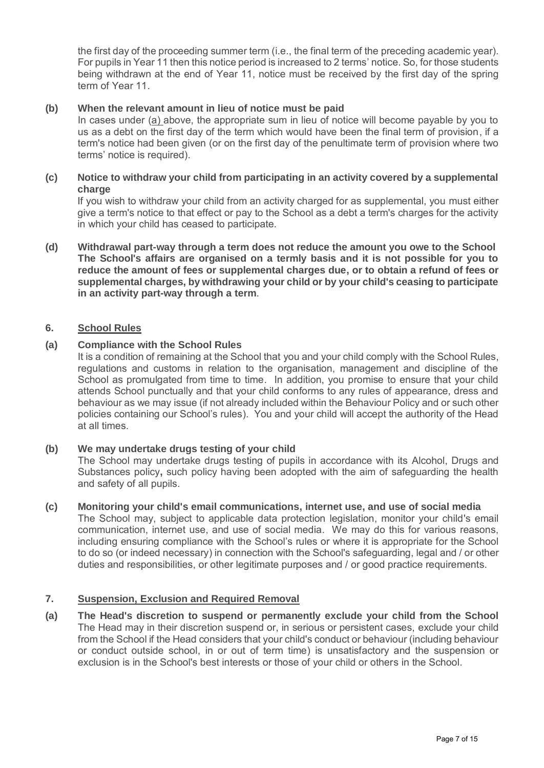the first day of the proceeding summer term (i.e., the final term of the preceding academic year). For pupils in Year 11 then this notice period is increased to 2 terms' notice. So, for those students being withdrawn at the end of Year 11, notice must be received by the first day of the spring term of Year 11.

# **(b) When the relevant amount in lieu of notice must be paid**

In cases under (a) above, the appropriate sum in lieu of notice will become payable by you to us as a debt on the first day of the term which would have been the final term of provision, if a term's notice had been given (or on the first day of the penultimate term of provision where two terms' notice is required).

# **(c) Notice to withdraw your child from participating in an activity covered by a supplemental charge**

If you wish to withdraw your child from an activity charged for as supplemental, you must either give a term's notice to that effect or pay to the School as a debt a term's charges for the activity in which your child has ceased to participate.

**(d) Withdrawal part-way through a term does not reduce the amount you owe to the School The School's affairs are organised on a termly basis and it is not possible for you to reduce the amount of fees or supplemental charges due, or to obtain a refund of fees or supplemental charges, by withdrawing your child or by your child's ceasing to participate in an activity part-way through a term**.

# **6. School Rules**

# **(a) Compliance with the School Rules**

It is a condition of remaining at the School that you and your child comply with the School Rules, regulations and customs in relation to the organisation, management and discipline of the School as promulgated from time to time. In addition, you promise to ensure that your child attends School punctually and that your child conforms to any rules of appearance, dress and behaviour as we may issue (if not already included within the Behaviour Policy and or such other policies containing our School's rules). You and your child will accept the authority of the Head at all times.

# **(b) We may undertake drugs testing of your child**

The School may undertake drugs testing of pupils in accordance with its Alcohol, Drugs and Substances policy**,** such policy having been adopted with the aim of safeguarding the health and safety of all pupils.

#### **(c) Monitoring your child's email communications, internet use, and use of social media**

The School may, subject to applicable data protection legislation, monitor your child's email communication, internet use, and use of social media.We may do this for various reasons, including ensuring compliance with the School's rules or where it is appropriate for the School to do so (or indeed necessary) in connection with the School's safeguarding, legal and / or other duties and responsibilities, or other legitimate purposes and / or good practice requirements.

#### **7. Suspension, Exclusion and Required Removal**

**(a) The Head's discretion to suspend or permanently exclude your child from the School** The Head may in their discretion suspend or, in serious or persistent cases, exclude your child from the School if the Head considers that your child's conduct or behaviour (including behaviour or conduct outside school, in or out of term time) is unsatisfactory and the suspension or exclusion is in the School's best interests or those of your child or others in the School.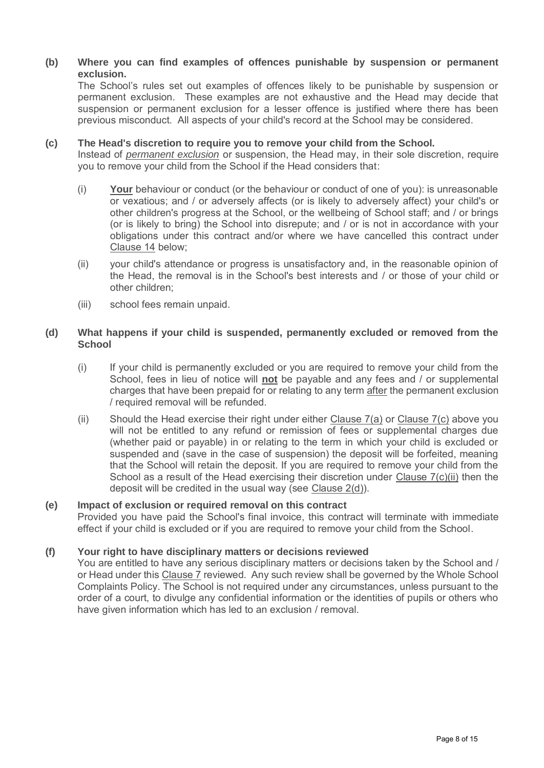## **(b) Where you can find examples of offences punishable by suspension or permanent exclusion.**

The School's rules set out examples of offences likely to be punishable by suspension or permanent exclusion. These examples are not exhaustive and the Head may decide that suspension or permanent exclusion for a lesser offence is justified where there has been previous misconduct. All aspects of your child's record at the School may be considered.

### **(c) The Head's discretion to require you to remove your child from the School.**

Instead of *permanent exclusion* or suspension, the Head may, in their sole discretion, require you to remove your child from the School if the Head considers that:

- (i) **Your** behaviour or conduct (or the behaviour or conduct of one of you): is unreasonable or vexatious; and / or adversely affects (or is likely to adversely affect) your child's or other children's progress at the School, or the wellbeing of School staff; and / or brings (or is likely to bring) the School into disrepute; and / or is not in accordance with your obligations under this contract and/or where we have cancelled this contract under Clause 14 below;
- (ii) your child's attendance or progress is unsatisfactory and, in the reasonable opinion of the Head, the removal is in the School's best interests and / or those of your child or other children;
- (iii) school fees remain unpaid.

# **(d) What happens if your child is suspended, permanently excluded or removed from the School**

- (i) If your child is permanently excluded or you are required to remove your child from the School, fees in lieu of notice will **not** be payable and any fees and / or supplemental charges that have been prepaid for or relating to any term after the permanent exclusion / required removal will be refunded.
- (ii) Should the Head exercise their right under either Clause  $7(a)$  or Clause  $7(c)$  above you will not be entitled to any refund or remission of fees or supplemental charges due (whether paid or payable) in or relating to the term in which your child is excluded or suspended and (save in the case of suspension) the deposit will be forfeited, meaning that the School will retain the deposit. If you are required to remove your child from the School as a result of the Head exercising their discretion under Clause 7(c)(ii) then the deposit will be credited in the usual way (see Clause 2(d)).

# **(e) Impact of exclusion or required removal on this contract**

Provided you have paid the School's final invoice, this contract will terminate with immediate effect if your child is excluded or if you are required to remove your child from the School.

# **(f) Your right to have disciplinary matters or decisions reviewed**

You are entitled to have any serious disciplinary matters or decisions taken by the School and / or Head under this Clause 7 reviewed. Any such review shall be governed by the Whole School Complaints Policy. The School is not required under any circumstances, unless pursuant to the order of a court, to divulge any confidential information or the identities of pupils or others who have given information which has led to an exclusion / removal.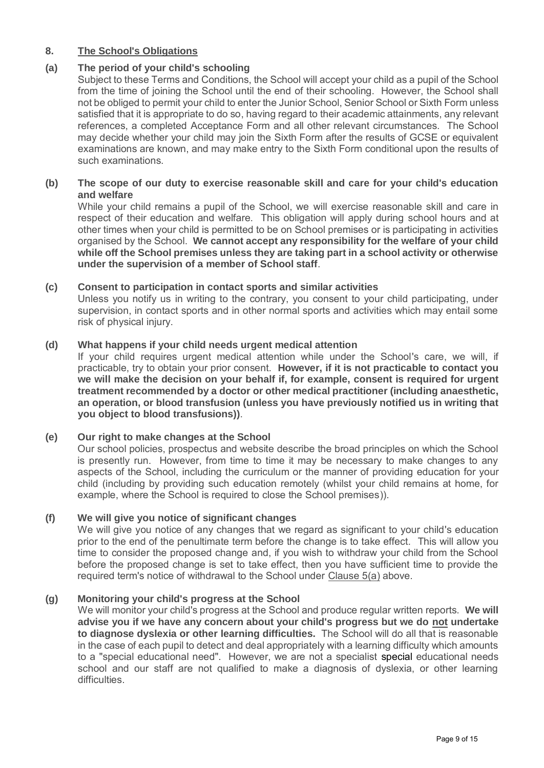# **8. The School's Obligations**

# **(a) The period of your child's schooling**

Subject to these Terms and Conditions, the School will accept your child as a pupil of the School from the time of joining the School until the end of their schooling. However, the School shall not be obliged to permit your child to enter the Junior School, Senior School or Sixth Form unless satisfied that it is appropriate to do so, having regard to their academic attainments, any relevant references, a completed Acceptance Form and all other relevant circumstances. The School may decide whether your child may join the Sixth Form after the results of GCSE or equivalent examinations are known, and may make entry to the Sixth Form conditional upon the results of such examinations.

# **(b) The scope of our duty to exercise reasonable skill and care for your child's education and welfare**

While your child remains a pupil of the School, we will exercise reasonable skill and care in respect of their education and welfare. This obligation will apply during school hours and at other times when your child is permitted to be on School premises or is participating in activities organised by the School. **We cannot accept any responsibility for the welfare of your child while off the School premises unless they are taking part in a school activity or otherwise under the supervision of a member of School staff**.

## **(c) Consent to participation in contact sports and similar activities**

Unless you notify us in writing to the contrary, you consent to your child participating, under supervision, in contact sports and in other normal sports and activities which may entail some risk of physical injury.

## **(d) What happens if your child needs urgent medical attention**

If your child requires urgent medical attention while under the School's care, we will, if practicable, try to obtain your prior consent. **However, if it is not practicable to contact you we will make the decision on your behalf if, for example, consent is required for urgent treatment recommended by a doctor or other medical practitioner (including anaesthetic, an operation, or blood transfusion (unless you have previously notified us in writing that you object to blood transfusions))**.

#### **(e) Our right to make changes at the School**

Our school policies, prospectus and website describe the broad principles on which the School is presently run. However, from time to time it may be necessary to make changes to any aspects of the School, including the curriculum or the manner of providing education for your child (including by providing such education remotely (whilst your child remains at home, for example, where the School is required to close the School premises)).

#### **(f) We will give you notice of significant changes**

We will give you notice of any changes that we regard as significant to your child's education prior to the end of the penultimate term before the change is to take effect. This will allow you time to consider the proposed change and, if you wish to withdraw your child from the School before the proposed change is set to take effect, then you have sufficient time to provide the required term's notice of withdrawal to the School under Clause 5(a) above.

#### **(g) Monitoring your child's progress at the School**

We will monitor your child's progress at the School and produce regular written reports. **We will advise you if we have any concern about your child's progress but we do not undertake to diagnose dyslexia or other learning difficulties.** The School will do all that is reasonable in the case of each pupil to detect and deal appropriately with a learning difficulty which amounts to a "special educational need". However, we are not a specialist special educational needs school and our staff are not qualified to make a diagnosis of dyslexia, or other learning difficulties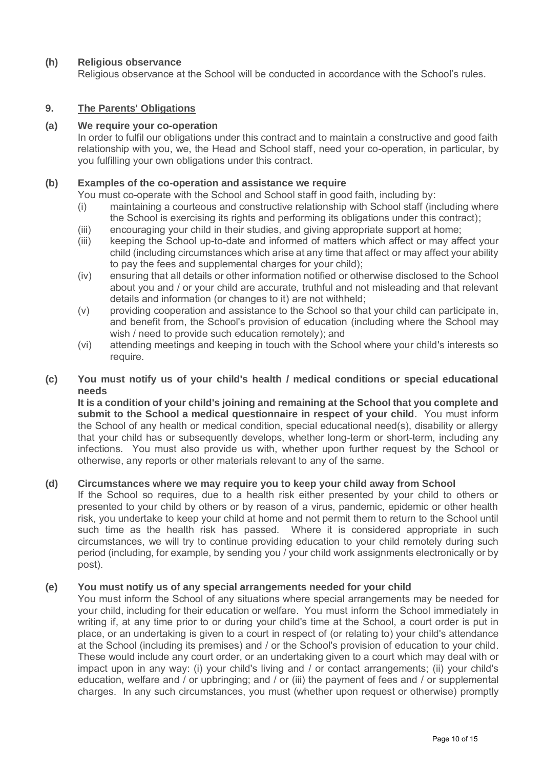# **(h) Religious observance**

Religious observance at the School will be conducted in accordance with the School's rules.

# **9. The Parents' Obligations**

## **(a) We require your co-operation**

In order to fulfil our obligations under this contract and to maintain a constructive and good faith relationship with you, we, the Head and School staff, need your co-operation, in particular, by you fulfilling your own obligations under this contract.

## **(b) Examples of the co-operation and assistance we require**

You must co-operate with the School and School staff in good faith, including by:

- (i) maintaining a courteous and constructive relationship with School staff (including where the School is exercising its rights and performing its obligations under this contract);
- (iii) encouraging your child in their studies, and giving appropriate support at home;
- (iii) keeping the School up-to-date and informed of matters which affect or may affect your child (including circumstances which arise at any time that affect or may affect your ability to pay the fees and supplemental charges for your child);
- (iv) ensuring that all details or other information notified or otherwise disclosed to the School about you and / or your child are accurate, truthful and not misleading and that relevant details and information (or changes to it) are not withheld;
- (v) providing cooperation and assistance to the School so that your child can participate in, and benefit from, the School's provision of education (including where the School may wish / need to provide such education remotely); and
- (vi) attending meetings and keeping in touch with the School where your child's interests so require.

## **(c) You must notify us of your child's health / medical conditions or special educational needs**

**It is a condition of your child's joining and remaining at the School that you complete and submit to the School a medical questionnaire in respect of your child**. You must inform the School of any health or medical condition, special educational need(s), disability or allergy that your child has or subsequently develops, whether long-term or short-term, including any infections. You must also provide us with, whether upon further request by the School or otherwise, any reports or other materials relevant to any of the same.

#### **(d) Circumstances where we may require you to keep your child away from School**

If the School so requires, due to a health risk either presented by your child to others or presented to your child by others or by reason of a virus, pandemic, epidemic or other health risk, you undertake to keep your child at home and not permit them to return to the School until such time as the health risk has passed. Where it is considered appropriate in such circumstances, we will try to continue providing education to your child remotely during such period (including, for example, by sending you / your child work assignments electronically or by post).

#### **(e) You must notify us of any special arrangements needed for your child**

You must inform the School of any situations where special arrangements may be needed for your child, including for their education or welfare. You must inform the School immediately in writing if, at any time prior to or during your child's time at the School, a court order is put in place, or an undertaking is given to a court in respect of (or relating to) your child's attendance at the School (including its premises) and / or the School's provision of education to your child. These would include any court order, or an undertaking given to a court which may deal with or impact upon in any way: (i) your child's living and / or contact arrangements; (ii) your child's education, welfare and / or upbringing; and / or (iii) the payment of fees and / or supplemental charges. In any such circumstances, you must (whether upon request or otherwise) promptly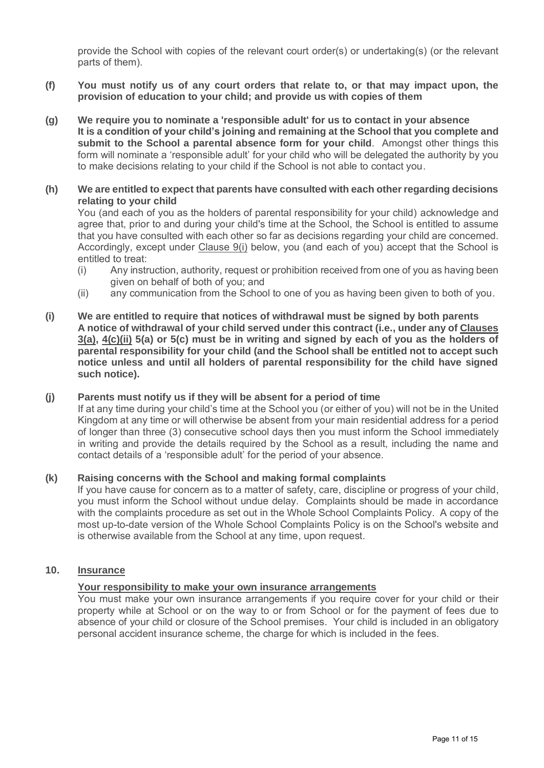provide the School with copies of the relevant court order(s) or undertaking(s) (or the relevant parts of them).

- **(f) You must notify us of any court orders that relate to, or that may impact upon, the provision of education to your child; and provide us with copies of them**
- **(g) We require you to nominate a 'responsible adult' for us to contact in your absence It is a condition of your child's joining and remaining at the School that you complete and submit to the School a parental absence form for your child**. Amongst other things this form will nominate a 'responsible adult' for your child who will be delegated the authority by you to make decisions relating to your child if the School is not able to contact you.

## **(h) We are entitled to expect that parents have consulted with each other regarding decisions relating to your child**

You (and each of you as the holders of parental responsibility for your child) acknowledge and agree that, prior to and during your child's time at the School, the School is entitled to assume that you have consulted with each other so far as decisions regarding your child are concerned. Accordingly, except under Clause 9(i) below, you (and each of you) accept that the School is entitled to treat:

- (i) Any instruction, authority, request or prohibition received from one of you as having been given on behalf of both of you; and
- (ii) any communication from the School to one of you as having been given to both of you.
- **(i) We are entitled to require that notices of withdrawal must be signed by both parents A notice of withdrawal of your child served under this contract (i.e., under any of Clauses 3(a), 4(c)(ii) 5(a) or 5(c) must be in writing and signed by each of you as the holders of parental responsibility for your child (and the School shall be entitled not to accept such notice unless and until all holders of parental responsibility for the child have signed such notice).**

#### **(j) Parents must notify us if they will be absent for a period of time**

If at any time during your child's time at the School you (or either of you) will not be in the United Kingdom at any time or will otherwise be absent from your main residential address for a period of longer than three (3) consecutive school days then you must inform the School immediately in writing and provide the details required by the School as a result, including the name and contact details of a 'responsible adult' for the period of your absence.

#### **(k) Raising concerns with the School and making formal complaints**

If you have cause for concern as to a matter of safety, care, discipline or progress of your child, you must inform the School without undue delay. Complaints should be made in accordance with the complaints procedure as set out in the Whole School Complaints Policy. A copy of the most up-to-date version of the Whole School Complaints Policy is on the School's website and is otherwise available from the School at any time, upon request.

## **10. Insurance**

#### **Your responsibility to make your own insurance arrangements**

You must make your own insurance arrangements if you require cover for your child or their property while at School or on the way to or from School or for the payment of fees due to absence of your child or closure of the School premises. Your child is included in an obligatory personal accident insurance scheme, the charge for which is included in the fees.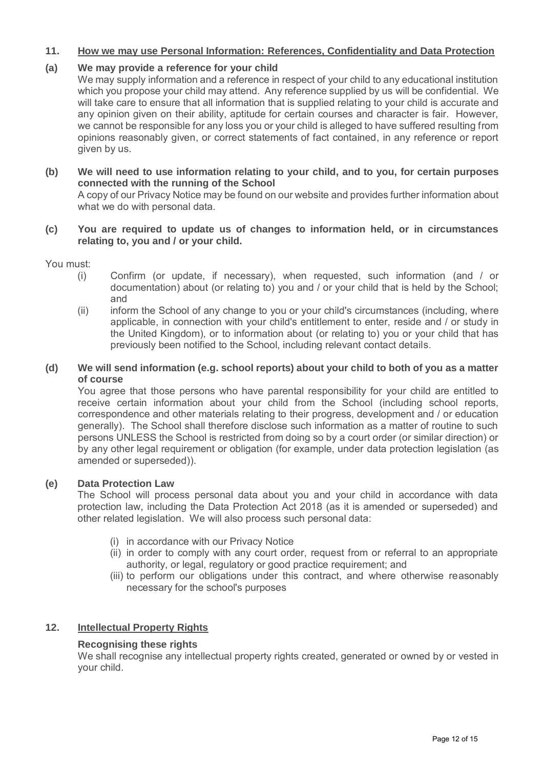# **11. How we may use Personal Information: References, Confidentiality and Data Protection**

# **(a) We may provide a reference for your child**

We may supply information and a reference in respect of your child to any educational institution which you propose your child may attend. Any reference supplied by us will be confidential. We will take care to ensure that all information that is supplied relating to your child is accurate and any opinion given on their ability, aptitude for certain courses and character is fair. However, we cannot be responsible for any loss you or your child is alleged to have suffered resulting from opinions reasonably given, or correct statements of fact contained, in any reference or report given by us.

## **(b) We will need to use information relating to your child, and to you, for certain purposes connected with the running of the School**

A copy of our Privacy Notice may be found on our website and provides further information about what we do with personal data.

## **(c) You are required to update us of changes to information held, or in circumstances relating to, you and / or your child.**

You must:<br>(i)

- Confirm (or update, if necessary), when requested, such information (and / or documentation) about (or relating to) you and / or your child that is held by the School; and
- (ii) inform the School of any change to you or your child's circumstances (including, where applicable, in connection with your child's entitlement to enter, reside and / or study in the United Kingdom), or to information about (or relating to) you or your child that has previously been notified to the School, including relevant contact details.

## **(d) We will send information (e.g. school reports) about your child to both of you as a matter of course**

You agree that those persons who have parental responsibility for your child are entitled to receive certain information about your child from the School (including school reports, correspondence and other materials relating to their progress, development and / or education generally). The School shall therefore disclose such information as a matter of routine to such persons UNLESS the School is restricted from doing so by a court order (or similar direction) or by any other legal requirement or obligation (for example, under data protection legislation (as amended or superseded)).

# **(e) Data Protection Law**

The School will process personal data about you and your child in accordance with data protection law, including the Data Protection Act 2018 (as it is amended or superseded) and other related legislation. We will also process such personal data:

- (i) in accordance with our Privacy Notice
- (ii) in order to comply with any court order, request from or referral to an appropriate authority, or legal, regulatory or good practice requirement; and
- (iii) to perform our obligations under this contract, and where otherwise reasonably necessary for the school's purposes

# **12. Intellectual Property Rights**

# **Recognising these rights**

We shall recognise any intellectual property rights created, generated or owned by or vested in your child.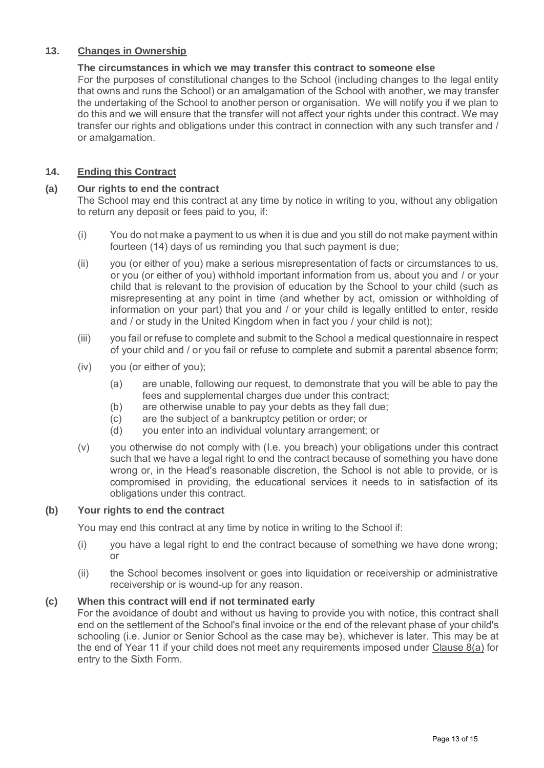# **13. Changes in Ownership**

# **The circumstances in which we may transfer this contract to someone else**

For the purposes of constitutional changes to the School (including changes to the legal entity that owns and runs the School) or an amalgamation of the School with another, we may transfer the undertaking of the School to another person or organisation. We will notify you if we plan to do this and we will ensure that the transfer will not affect your rights under this contract. We may transfer our rights and obligations under this contract in connection with any such transfer and / or amalgamation.

# **14. Ending this Contract**

## **(a) Our rights to end the contract**

The School may end this contract at any time by notice in writing to you, without any obligation to return any deposit or fees paid to you, if:

- (i) You do not make a payment to us when it is due and you still do not make payment within fourteen (14) days of us reminding you that such payment is due;
- (ii) you (or either of you) make a serious misrepresentation of facts or circumstances to us, or you (or either of you) withhold important information from us, about you and / or your child that is relevant to the provision of education by the School to your child (such as misrepresenting at any point in time (and whether by act, omission or withholding of information on your part) that you and / or your child is legally entitled to enter, reside and / or study in the United Kingdom when in fact you / your child is not);
- (iii) you fail or refuse to complete and submit to the School a medical questionnaire in respect of your child and / or you fail or refuse to complete and submit a parental absence form;
- (iv) you (or either of you);
	- (a) are unable, following our request, to demonstrate that you will be able to pay the fees and supplemental charges due under this contract;
	- (b) are otherwise unable to pay your debts as they fall due;
	- (c) are the subject of a bankruptcy petition or order; or
	- (d) you enter into an individual voluntary arrangement; or
- (v) you otherwise do not comply with (I.e. you breach) your obligations under this contract such that we have a legal right to end the contract because of something you have done wrong or, in the Head's reasonable discretion, the School is not able to provide, or is compromised in providing, the educational services it needs to in satisfaction of its obligations under this contract.

#### **(b) Your rights to end the contract**

You may end this contract at any time by notice in writing to the School if:

- (i) you have a legal right to end the contract because of something we have done wrong; or
- (ii) the School becomes insolvent or goes into liquidation or receivership or administrative receivership or is wound-up for any reason.

#### **(c) When this contract will end if not terminated early**

For the avoidance of doubt and without us having to provide you with notice, this contract shall end on the settlement of the School's final invoice or the end of the relevant phase of your child's schooling (i.e. Junior or Senior School as the case may be), whichever is later. This may be at the end of Year 11 if your child does not meet any requirements imposed under Clause 8(a) for entry to the Sixth Form.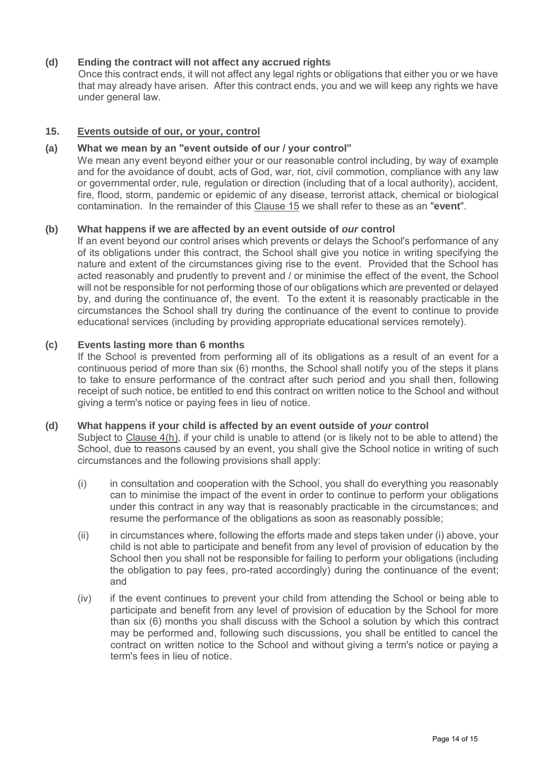# **(d) Ending the contract will not affect any accrued rights**

Once this contract ends, it will not affect any legal rights or obligations that either you or we have that may already have arisen. After this contract ends, you and we will keep any rights we have under general law.

# **15. Events outside of our, or your, control**

## **(a) What we mean by an "event outside of our / your control"**

We mean any event beyond either your or our reasonable control including, by way of example and for the avoidance of doubt, acts of God, war, riot, civil commotion, compliance with any law or governmental order, rule, regulation or direction (including that of a local authority), accident, fire, flood, storm, pandemic or epidemic of any disease, terrorist attack, chemical or biological contamination. In the remainder of this Clause 15 we shall refer to these as an "**event**".

## **(b) What happens if we are affected by an event outside of** *our* **control**

If an event beyond our control arises which prevents or delays the School's performance of any of its obligations under this contract, the School shall give you notice in writing specifying the nature and extent of the circumstances giving rise to the event. Provided that the School has acted reasonably and prudently to prevent and / or minimise the effect of the event, the School will not be responsible for not performing those of our obligations which are prevented or delayed by, and during the continuance of, the event. To the extent it is reasonably practicable in the circumstances the School shall try during the continuance of the event to continue to provide educational services (including by providing appropriate educational services remotely).

## **(c) Events lasting more than 6 months**

If the School is prevented from performing all of its obligations as a result of an event for a continuous period of more than six (6) months, the School shall notify you of the steps it plans to take to ensure performance of the contract after such period and you shall then, following receipt of such notice, be entitled to end this contract on written notice to the School and without giving a term's notice or paying fees in lieu of notice.

#### **(d) What happens if your child is affected by an event outside of** *your* **control**

Subject to Clause 4(h), if your child is unable to attend (or is likely not to be able to attend) the School, due to reasons caused by an event, you shall give the School notice in writing of such circumstances and the following provisions shall apply:

- (i) in consultation and cooperation with the School, you shall do everything you reasonably can to minimise the impact of the event in order to continue to perform your obligations under this contract in any way that is reasonably practicable in the circumstances; and resume the performance of the obligations as soon as reasonably possible;
- (ii) in circumstances where, following the efforts made and steps taken under (i) above, your child is not able to participate and benefit from any level of provision of education by the School then you shall not be responsible for failing to perform your obligations (including the obligation to pay fees, pro-rated accordingly) during the continuance of the event; and
- (iv) if the event continues to prevent your child from attending the School or being able to participate and benefit from any level of provision of education by the School for more than six (6) months you shall discuss with the School a solution by which this contract may be performed and, following such discussions, you shall be entitled to cancel the contract on written notice to the School and without giving a term's notice or paying a term's fees in lieu of notice.